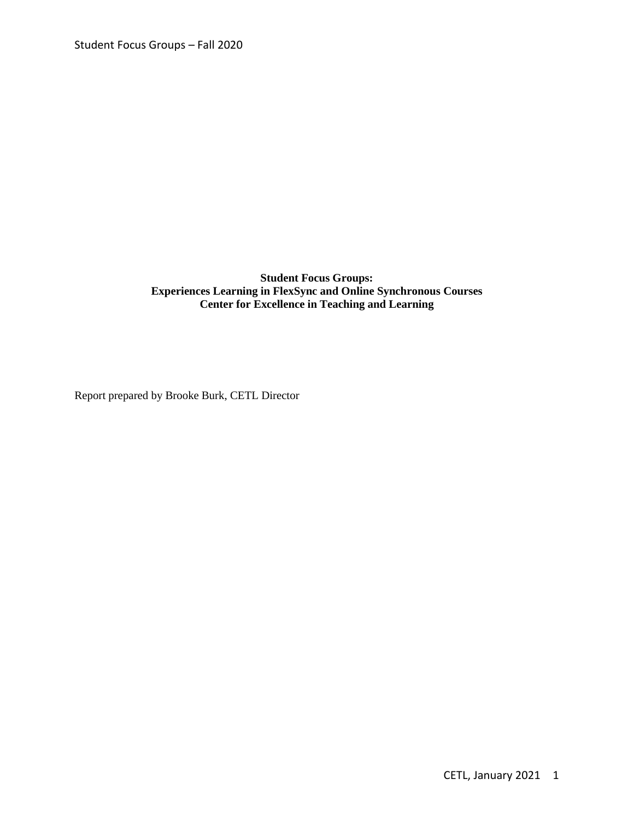# **Student Focus Groups: Experiences Learning in FlexSync and Online Synchronous Courses Center for Excellence in Teaching and Learning**

Report prepared by Brooke Burk, CETL Director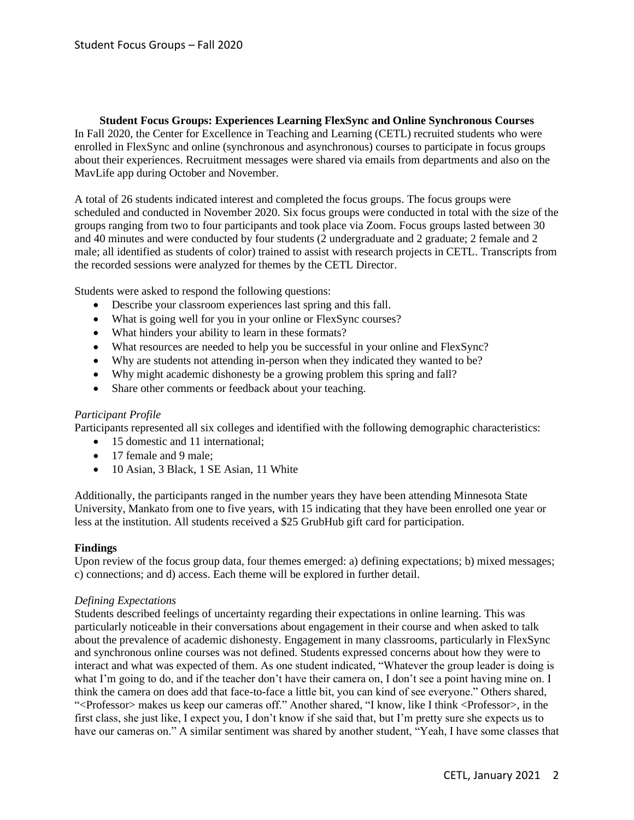**Student Focus Groups: Experiences Learning FlexSync and Online Synchronous Courses** In Fall 2020, the Center for Excellence in Teaching and Learning (CETL) recruited students who were enrolled in FlexSync and online (synchronous and asynchronous) courses to participate in focus groups about their experiences. Recruitment messages were shared via emails from departments and also on the MavLife app during October and November.

A total of 26 students indicated interest and completed the focus groups. The focus groups were scheduled and conducted in November 2020. Six focus groups were conducted in total with the size of the groups ranging from two to four participants and took place via Zoom. Focus groups lasted between 30 and 40 minutes and were conducted by four students (2 undergraduate and 2 graduate; 2 female and 2 male; all identified as students of color) trained to assist with research projects in CETL. Transcripts from the recorded sessions were analyzed for themes by the CETL Director.

Students were asked to respond the following questions:

- Describe your classroom experiences last spring and this fall.
- What is going well for you in your online or FlexSync courses?
- What hinders your ability to learn in these formats?
- What resources are needed to help you be successful in your online and FlexSync?
- Why are students not attending in-person when they indicated they wanted to be?
- Why might academic dishonesty be a growing problem this spring and fall?
- Share other comments or feedback about your teaching.

### *Participant Profile*

Participants represented all six colleges and identified with the following demographic characteristics:

- 15 domestic and 11 international;
- 17 female and 9 male:
- 10 Asian, 3 Black, 1 SE Asian, 11 White

Additionally, the participants ranged in the number years they have been attending Minnesota State University, Mankato from one to five years, with 15 indicating that they have been enrolled one year or less at the institution. All students received a \$25 GrubHub gift card for participation.

### **Findings**

Upon review of the focus group data, four themes emerged: a) defining expectations; b) mixed messages; c) connections; and d) access. Each theme will be explored in further detail.

### *Defining Expectations*

Students described feelings of uncertainty regarding their expectations in online learning. This was particularly noticeable in their conversations about engagement in their course and when asked to talk about the prevalence of academic dishonesty. Engagement in many classrooms, particularly in FlexSync and synchronous online courses was not defined. Students expressed concerns about how they were to interact and what was expected of them. As one student indicated, "Whatever the group leader is doing is what I'm going to do, and if the teacher don't have their camera on, I don't see a point having mine on. I think the camera on does add that face-to-face a little bit, you can kind of see everyone." Others shared, "<Professor> makes us keep our cameras off." Another shared, "I know, like I think <Professor>, in the first class, she just like, I expect you, I don't know if she said that, but I'm pretty sure she expects us to have our cameras on." A similar sentiment was shared by another student, "Yeah, I have some classes that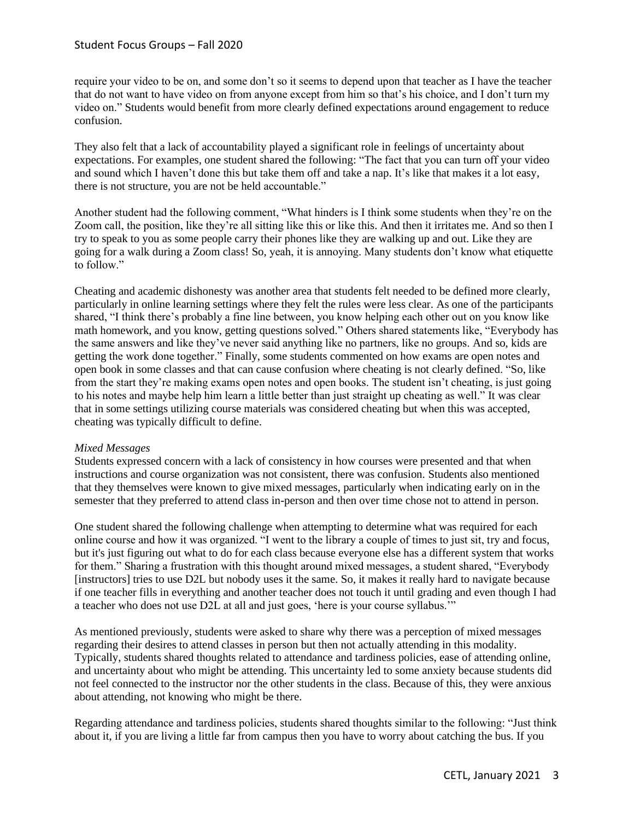require your video to be on, and some don't so it seems to depend upon that teacher as I have the teacher that do not want to have video on from anyone except from him so that's his choice, and I don't turn my video on." Students would benefit from more clearly defined expectations around engagement to reduce confusion.

They also felt that a lack of accountability played a significant role in feelings of uncertainty about expectations. For examples, one student shared the following: "The fact that you can turn off your video and sound which I haven't done this but take them off and take a nap. It's like that makes it a lot easy, there is not structure, you are not be held accountable."

Another student had the following comment, "What hinders is I think some students when they're on the Zoom call, the position, like they're all sitting like this or like this. And then it irritates me. And so then I try to speak to you as some people carry their phones like they are walking up and out. Like they are going for a walk during a Zoom class! So, yeah, it is annoying. Many students don't know what etiquette to follow."

Cheating and academic dishonesty was another area that students felt needed to be defined more clearly, particularly in online learning settings where they felt the rules were less clear. As one of the participants shared, "I think there's probably a fine line between, you know helping each other out on you know like math homework, and you know, getting questions solved." Others shared statements like, "Everybody has the same answers and like they've never said anything like no partners, like no groups. And so, kids are getting the work done together." Finally, some students commented on how exams are open notes and open book in some classes and that can cause confusion where cheating is not clearly defined. "So, like from the start they're making exams open notes and open books. The student isn't cheating, is just going to his notes and maybe help him learn a little better than just straight up cheating as well." It was clear that in some settings utilizing course materials was considered cheating but when this was accepted, cheating was typically difficult to define.

### *Mixed Messages*

Students expressed concern with a lack of consistency in how courses were presented and that when instructions and course organization was not consistent, there was confusion. Students also mentioned that they themselves were known to give mixed messages, particularly when indicating early on in the semester that they preferred to attend class in-person and then over time chose not to attend in person.

One student shared the following challenge when attempting to determine what was required for each online course and how it was organized. "I went to the library a couple of times to just sit, try and focus, but it's just figuring out what to do for each class because everyone else has a different system that works for them." Sharing a frustration with this thought around mixed messages, a student shared, "Everybody [instructors] tries to use D2L but nobody uses it the same. So, it makes it really hard to navigate because if one teacher fills in everything and another teacher does not touch it until grading and even though I had a teacher who does not use D2L at all and just goes, 'here is your course syllabus.'"

As mentioned previously, students were asked to share why there was a perception of mixed messages regarding their desires to attend classes in person but then not actually attending in this modality. Typically, students shared thoughts related to attendance and tardiness policies, ease of attending online, and uncertainty about who might be attending. This uncertainty led to some anxiety because students did not feel connected to the instructor nor the other students in the class. Because of this, they were anxious about attending, not knowing who might be there.

Regarding attendance and tardiness policies, students shared thoughts similar to the following: "Just think about it, if you are living a little far from campus then you have to worry about catching the bus. If you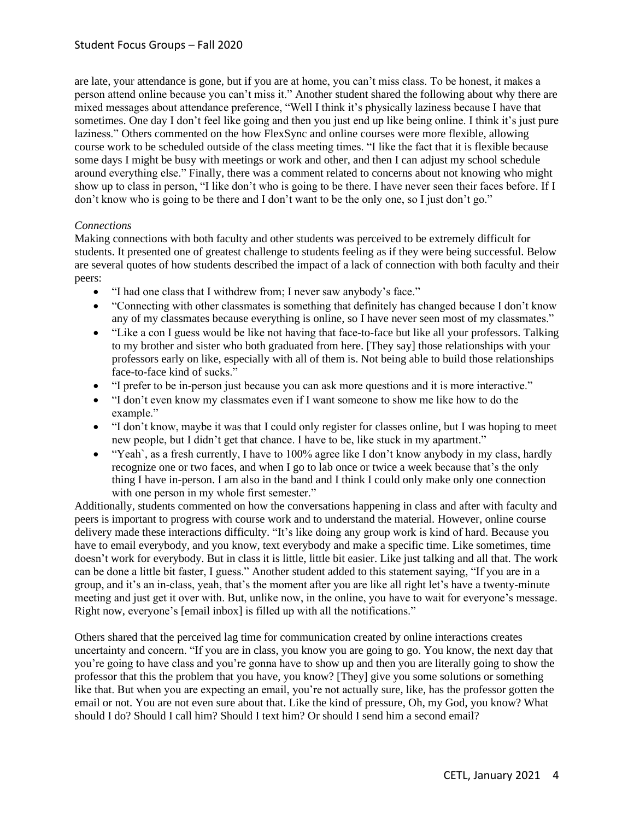are late, your attendance is gone, but if you are at home, you can't miss class. To be honest, it makes a person attend online because you can't miss it." Another student shared the following about why there are mixed messages about attendance preference, "Well I think it's physically laziness because I have that sometimes. One day I don't feel like going and then you just end up like being online. I think it's just pure laziness." Others commented on the how FlexSync and online courses were more flexible, allowing course work to be scheduled outside of the class meeting times. "I like the fact that it is flexible because some days I might be busy with meetings or work and other, and then I can adjust my school schedule around everything else." Finally, there was a comment related to concerns about not knowing who might show up to class in person, "I like don't who is going to be there. I have never seen their faces before. If I don't know who is going to be there and I don't want to be the only one, so I just don't go."

### *Connections*

Making connections with both faculty and other students was perceived to be extremely difficult for students. It presented one of greatest challenge to students feeling as if they were being successful. Below are several quotes of how students described the impact of a lack of connection with both faculty and their peers:

- "I had one class that I withdrew from; I never saw anybody's face."
- "Connecting with other classmates is something that definitely has changed because I don't know any of my classmates because everything is online, so I have never seen most of my classmates."
- "Like a con I guess would be like not having that face-to-face but like all your professors. Talking to my brother and sister who both graduated from here. [They say] those relationships with your professors early on like, especially with all of them is. Not being able to build those relationships face-to-face kind of sucks."
- "I prefer to be in-person just because you can ask more questions and it is more interactive."
- "I don't even know my classmates even if I want someone to show me like how to do the example."
- "I don't know, maybe it was that I could only register for classes online, but I was hoping to meet new people, but I didn't get that chance. I have to be, like stuck in my apartment."
- "Yeah`, as a fresh currently, I have to 100% agree like I don't know anybody in my class, hardly recognize one or two faces, and when I go to lab once or twice a week because that's the only thing I have in-person. I am also in the band and I think I could only make only one connection with one person in my whole first semester."

Additionally, students commented on how the conversations happening in class and after with faculty and peers is important to progress with course work and to understand the material. However, online course delivery made these interactions difficulty. "It's like doing any group work is kind of hard. Because you have to email everybody, and you know, text everybody and make a specific time. Like sometimes, time doesn't work for everybody. But in class it is little, little bit easier. Like just talking and all that. The work can be done a little bit faster, I guess." Another student added to this statement saying, "If you are in a group, and it's an in-class, yeah, that's the moment after you are like all right let's have a twenty-minute meeting and just get it over with. But, unlike now, in the online, you have to wait for everyone's message. Right now, everyone's [email inbox] is filled up with all the notifications."

Others shared that the perceived lag time for communication created by online interactions creates uncertainty and concern. "If you are in class, you know you are going to go. You know, the next day that you're going to have class and you're gonna have to show up and then you are literally going to show the professor that this the problem that you have, you know? [They] give you some solutions or something like that. But when you are expecting an email, you're not actually sure, like, has the professor gotten the email or not. You are not even sure about that. Like the kind of pressure, Oh, my God, you know? What should I do? Should I call him? Should I text him? Or should I send him a second email?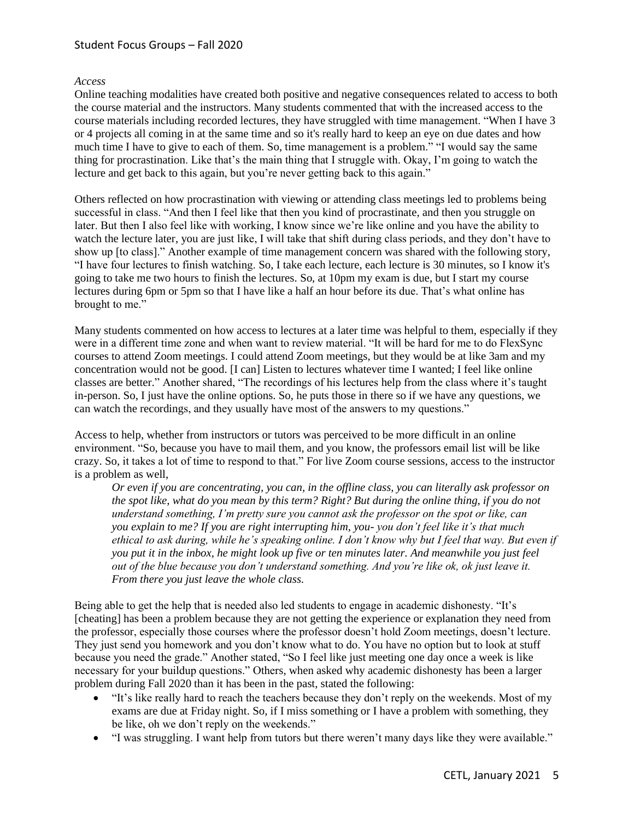## *Access*

Online teaching modalities have created both positive and negative consequences related to access to both the course material and the instructors. Many students commented that with the increased access to the course materials including recorded lectures, they have struggled with time management. "When I have 3 or 4 projects all coming in at the same time and so it's really hard to keep an eye on due dates and how much time I have to give to each of them. So, time management is a problem." "I would say the same thing for procrastination. Like that's the main thing that I struggle with. Okay, I'm going to watch the lecture and get back to this again, but you're never getting back to this again."

Others reflected on how procrastination with viewing or attending class meetings led to problems being successful in class. "And then I feel like that then you kind of procrastinate, and then you struggle on later. But then I also feel like with working, I know since we're like online and you have the ability to watch the lecture later, you are just like, I will take that shift during class periods, and they don't have to show up [to class]." Another example of time management concern was shared with the following story, "I have four lectures to finish watching. So, I take each lecture, each lecture is 30 minutes, so I know it's going to take me two hours to finish the lectures. So, at 10pm my exam is due, but I start my course lectures during 6pm or 5pm so that I have like a half an hour before its due. That's what online has brought to me."

Many students commented on how access to lectures at a later time was helpful to them, especially if they were in a different time zone and when want to review material. "It will be hard for me to do FlexSync courses to attend Zoom meetings. I could attend Zoom meetings, but they would be at like 3am and my concentration would not be good. [I can] Listen to lectures whatever time I wanted; I feel like online classes are better." Another shared, "The recordings of his lectures help from the class where it's taught in-person. So, I just have the online options. So, he puts those in there so if we have any questions, we can watch the recordings, and they usually have most of the answers to my questions."

Access to help, whether from instructors or tutors was perceived to be more difficult in an online environment. "So, because you have to mail them, and you know, the professors email list will be like crazy. So, it takes a lot of time to respond to that." For live Zoom course sessions, access to the instructor is a problem as well,

*Or even if you are concentrating, you can, in the offline class, you can literally ask professor on the spot like, what do you mean by this term? Right? But during the online thing, if you do not understand something, I'm pretty sure you cannot ask the professor on the spot or like, can you explain to me? If you are right interrupting him, you- you don't feel like it's that much ethical to ask during, while he's speaking online. I don't know why but I feel that way. But even if you put it in the inbox, he might look up five or ten minutes later. And meanwhile you just feel out of the blue because you don't understand something. And you're like ok, ok just leave it. From there you just leave the whole class.*

Being able to get the help that is needed also led students to engage in academic dishonesty. "It's [cheating] has been a problem because they are not getting the experience or explanation they need from the professor, especially those courses where the professor doesn't hold Zoom meetings, doesn't lecture. They just send you homework and you don't know what to do. You have no option but to look at stuff because you need the grade." Another stated, "So I feel like just meeting one day once a week is like necessary for your buildup questions." Others, when asked why academic dishonesty has been a larger problem during Fall 2020 than it has been in the past, stated the following:

- "It's like really hard to reach the teachers because they don't reply on the weekends. Most of my exams are due at Friday night. So, if I miss something or I have a problem with something, they be like, oh we don't reply on the weekends."
- "I was struggling. I want help from tutors but there weren't many days like they were available."